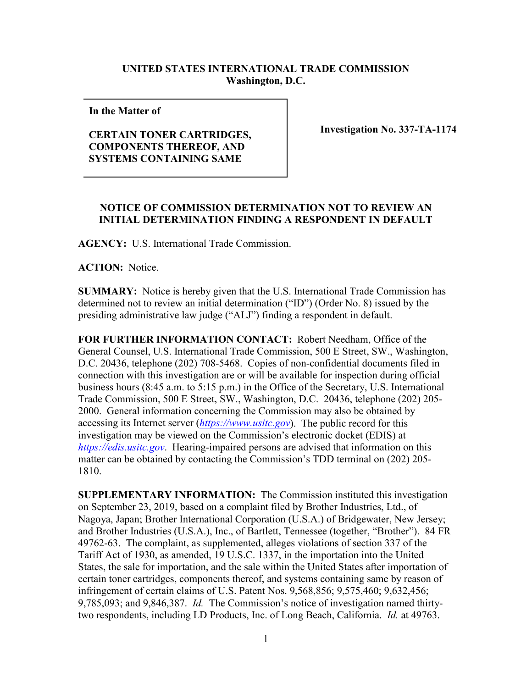## **UNITED STATES INTERNATIONAL TRADE COMMISSION Washington, D.C.**

**In the Matter of** 

## **CERTAIN TONER CARTRIDGES, COMPONENTS THEREOF, AND SYSTEMS CONTAINING SAME**

**Investigation No. 337-TA-1174**

## **NOTICE OF COMMISSION DETERMINATION NOT TO REVIEW AN INITIAL DETERMINATION FINDING A RESPONDENT IN DEFAULT**

**AGENCY:** U.S. International Trade Commission.

**ACTION:** Notice.

**SUMMARY:** Notice is hereby given that the U.S. International Trade Commission has determined not to review an initial determination ("ID") (Order No. 8) issued by the presiding administrative law judge ("ALJ") finding a respondent in default.

**FOR FURTHER INFORMATION CONTACT:** Robert Needham, Office of the General Counsel, U.S. International Trade Commission, 500 E Street, SW., Washington, D.C. 20436, telephone (202) 708-5468. Copies of non-confidential documents filed in connection with this investigation are or will be available for inspection during official business hours (8:45 a.m. to 5:15 p.m.) in the Office of the Secretary, U.S. International Trade Commission, 500 E Street, SW., Washington, D.C. 20436, telephone (202) 205- 2000. General information concerning the Commission may also be obtained by accessing its Internet server (*[https://www.usitc.gov](https://www.usitc.gov/)*). The public record for this investigation may be viewed on the Commission's electronic docket (EDIS) at *[https://edis.usitc.gov](https://edis.usitc.gov/)*. Hearing-impaired persons are advised that information on this matter can be obtained by contacting the Commission's TDD terminal on (202) 205- 1810.

**SUPPLEMENTARY INFORMATION:** The Commission instituted this investigation on September 23, 2019, based on a complaint filed by Brother Industries, Ltd., of Nagoya, Japan; Brother International Corporation (U.S.A.) of Bridgewater, New Jersey; and Brother Industries (U.S.A.), Inc., of Bartlett, Tennessee (together, "Brother"). 84 FR 49762-63. The complaint, as supplemented, alleges violations of section 337 of the Tariff Act of 1930, as amended, 19 U.S.C. 1337, in the importation into the United States, the sale for importation, and the sale within the United States after importation of certain toner cartridges, components thereof, and systems containing same by reason of infringement of certain claims of U.S. Patent Nos. 9,568,856; 9,575,460; 9,632,456; 9,785,093; and 9,846,387. *Id.* The Commission's notice of investigation named thirtytwo respondents, including LD Products, Inc. of Long Beach, California. *Id.* at 49763.